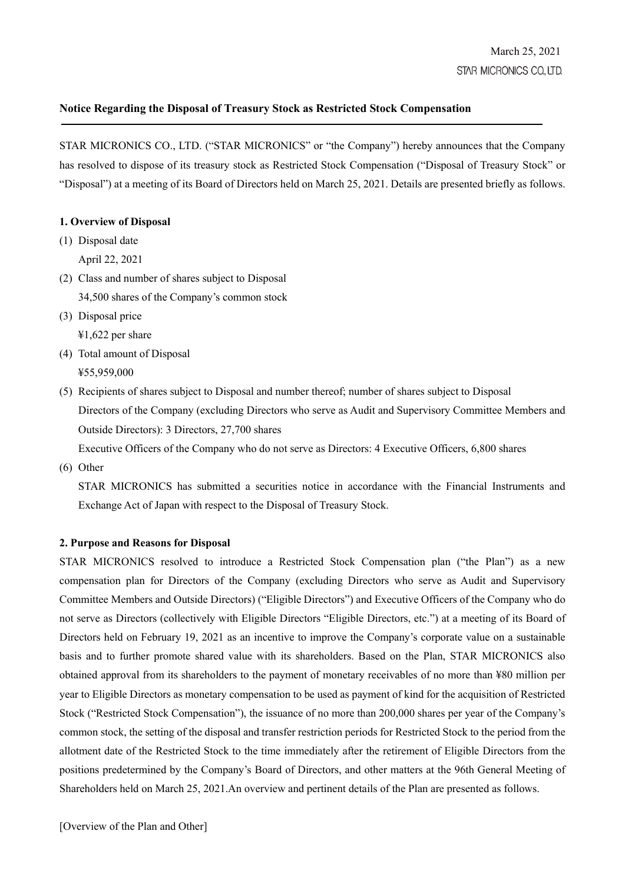# **Notice Regarding the Disposal of Treasury Stock as Restricted Stock Compensation**

STAR MICRONICS CO., LTD. ("STAR MICRONICS" or "the Company") hereby announces that the Company has resolved to dispose of its treasury stock as Restricted Stock Compensation ("Disposal of Treasury Stock" or "Disposal") at a meeting of its Board of Directors held on March 25, 2021. Details are presented briefly as follows.

### **1. Overview of Disposal**

- (1) Disposal date April 22, 2021
- (2) Class and number of shares subject to Disposal 34,500 shares of the Company's common stock
- (3) Disposal price ¥1,622 per share
- (4) Total amount of Disposal ¥55,959,000
- (5) Recipients of shares subject to Disposal and number thereof; number of shares subject to Disposal Directors of the Company (excluding Directors who serve as Audit and Supervisory Committee Members and Outside Directors): 3 Directors, 27,700 shares

Executive Officers of the Company who do not serve as Directors: 4 Executive Officers, 6,800 shares

(6) Other

STAR MICRONICS has submitted a securities notice in accordance with the Financial Instruments and Exchange Act of Japan with respect to the Disposal of Treasury Stock.

## **2. Purpose and Reasons for Disposal**

STAR MICRONICS resolved to introduce a Restricted Stock Compensation plan ("the Plan") as a new compensation plan for Directors of the Company (excluding Directors who serve as Audit and Supervisory Committee Members and Outside Directors) ("Eligible Directors") and Executive Officers of the Company who do not serve as Directors (collectively with Eligible Directors "Eligible Directors, etc.") at a meeting of its Board of Directors held on February 19, 2021 as an incentive to improve the Company's corporate value on a sustainable basis and to further promote shared value with its shareholders. Based on the Plan, STAR MICRONICS also obtained approval from its shareholders to the payment of monetary receivables of no more than ¥80 million per year to Eligible Directors as monetary compensation to be used as payment of kind for the acquisition of Restricted Stock ("Restricted Stock Compensation"), the issuance of no more than 200,000 shares per year of the Company's common stock, the setting of the disposal and transfer restriction periods for Restricted Stock to the period from the allotment date of the Restricted Stock to the time immediately after the retirement of Eligible Directors from the positions predetermined by the Company's Board of Directors, and other matters at the 96th General Meeting of Shareholders held on March 25, 2021.An overview and pertinent details of the Plan are presented as follows.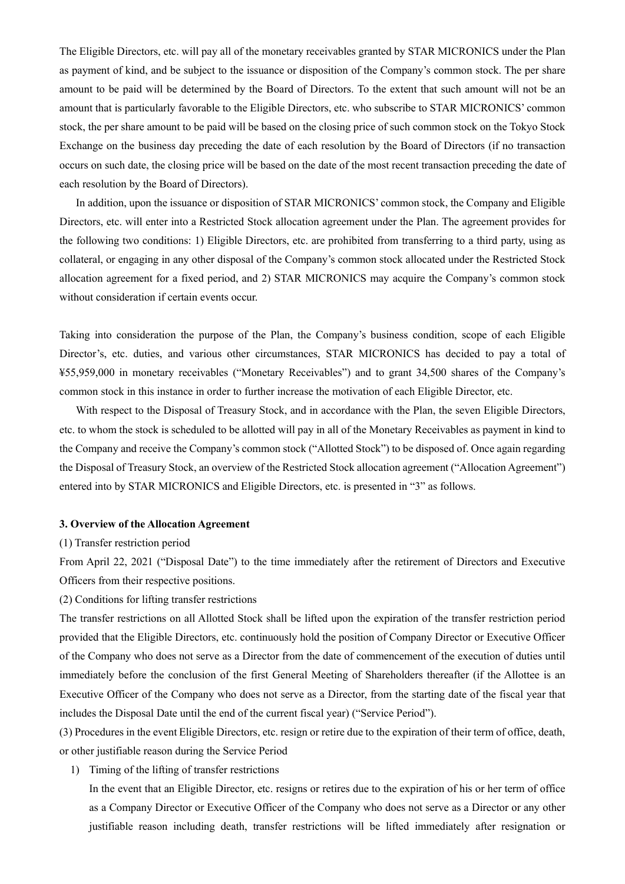The Eligible Directors, etc. will pay all of the monetary receivables granted by STAR MICRONICS under the Plan as payment of kind, and be subject to the issuance or disposition of the Company's common stock. The per share amount to be paid will be determined by the Board of Directors. To the extent that such amount will not be an amount that is particularly favorable to the Eligible Directors, etc. who subscribe to STAR MICRONICS' common stock, the per share amount to be paid will be based on the closing price of such common stock on the Tokyo Stock Exchange on the business day preceding the date of each resolution by the Board of Directors (if no transaction occurs on such date, the closing price will be based on the date of the most recent transaction preceding the date of each resolution by the Board of Directors).

In addition, upon the issuance or disposition of STAR MICRONICS' common stock, the Company and Eligible Directors, etc. will enter into a Restricted Stock allocation agreement under the Plan. The agreement provides for the following two conditions: 1) Eligible Directors, etc. are prohibited from transferring to a third party, using as collateral, or engaging in any other disposal of the Company's common stock allocated under the Restricted Stock allocation agreement for a fixed period, and 2) STAR MICRONICS may acquire the Company's common stock without consideration if certain events occur.

Taking into consideration the purpose of the Plan, the Company's business condition, scope of each Eligible Director's, etc. duties, and various other circumstances, STAR MICRONICS has decided to pay a total of ¥55,959,000 in monetary receivables ("Monetary Receivables") and to grant 34,500 shares of the Company's common stock in this instance in order to further increase the motivation of each Eligible Director, etc.

With respect to the Disposal of Treasury Stock, and in accordance with the Plan, the seven Eligible Directors, etc. to whom the stock is scheduled to be allotted will pay in all of the Monetary Receivables as payment in kind to the Company and receive the Company's common stock ("Allotted Stock") to be disposed of. Once again regarding the Disposal of Treasury Stock, an overview of the Restricted Stock allocation agreement ("Allocation Agreement") entered into by STAR MICRONICS and Eligible Directors, etc. is presented in "3" as follows.

#### **3. Overview of the Allocation Agreement**

(1) Transfer restriction period

From April 22, 2021 ("Disposal Date") to the time immediately after the retirement of Directors and Executive Officers from their respective positions.

(2) Conditions for lifting transfer restrictions

The transfer restrictions on all Allotted Stock shall be lifted upon the expiration of the transfer restriction period provided that the Eligible Directors, etc. continuously hold the position of Company Director or Executive Officer of the Company who does not serve as a Director from the date of commencement of the execution of duties until immediately before the conclusion of the first General Meeting of Shareholders thereafter (if the Allottee is an Executive Officer of the Company who does not serve as a Director, from the starting date of the fiscal year that includes the Disposal Date until the end of the current fiscal year) ("Service Period").

(3) Procedures in the event Eligible Directors, etc. resign or retire due to the expiration of their term of office, death, or other justifiable reason during the Service Period

1) Timing of the lifting of transfer restrictions

In the event that an Eligible Director, etc. resigns or retires due to the expiration of his or her term of office as a Company Director or Executive Officer of the Company who does not serve as a Director or any other justifiable reason including death, transfer restrictions will be lifted immediately after resignation or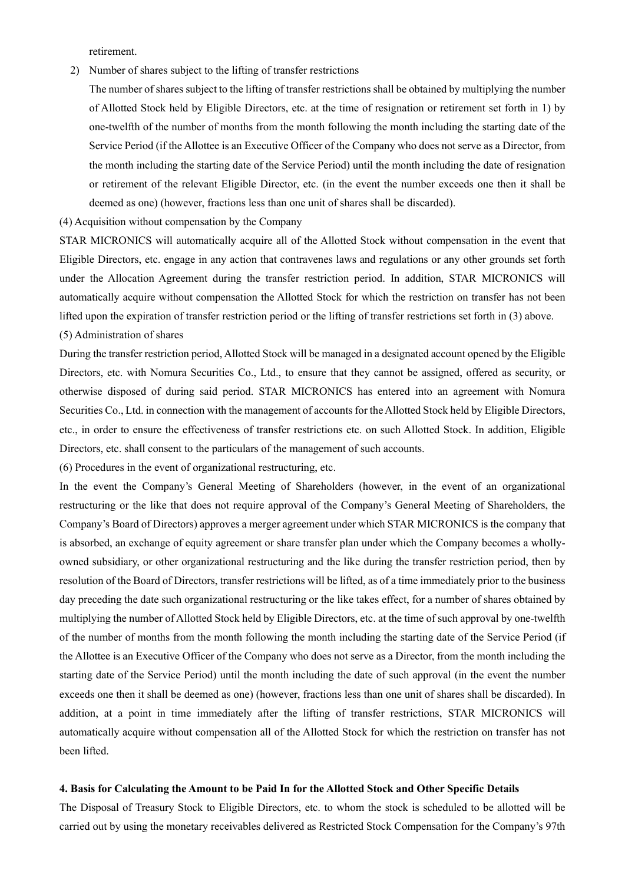retirement.

2) Number of shares subject to the lifting of transfer restrictions

The number of shares subject to the lifting of transfer restrictions shall be obtained by multiplying the number of Allotted Stock held by Eligible Directors, etc. at the time of resignation or retirement set forth in 1) by one-twelfth of the number of months from the month following the month including the starting date of the Service Period (if the Allottee is an Executive Officer of the Company who does not serve as a Director, from the month including the starting date of the Service Period) until the month including the date of resignation or retirement of the relevant Eligible Director, etc. (in the event the number exceeds one then it shall be deemed as one) (however, fractions less than one unit of shares shall be discarded).

(4) Acquisition without compensation by the Company

STAR MICRONICS will automatically acquire all of the Allotted Stock without compensation in the event that Eligible Directors, etc. engage in any action that contravenes laws and regulations or any other grounds set forth under the Allocation Agreement during the transfer restriction period. In addition, STAR MICRONICS will automatically acquire without compensation the Allotted Stock for which the restriction on transfer has not been lifted upon the expiration of transfer restriction period or the lifting of transfer restrictions set forth in (3) above. (5) Administration of shares

During the transfer restriction period, Allotted Stock will be managed in a designated account opened by the Eligible Directors, etc. with Nomura Securities Co., Ltd., to ensure that they cannot be assigned, offered as security, or otherwise disposed of during said period. STAR MICRONICS has entered into an agreement with Nomura Securities Co., Ltd. in connection with the management of accounts for the Allotted Stock held by Eligible Directors, etc., in order to ensure the effectiveness of transfer restrictions etc. on such Allotted Stock. In addition, Eligible Directors, etc. shall consent to the particulars of the management of such accounts.

(6) Procedures in the event of organizational restructuring, etc.

In the event the Company's General Meeting of Shareholders (however, in the event of an organizational restructuring or the like that does not require approval of the Company's General Meeting of Shareholders, the Company's Board of Directors) approves a merger agreement under which STAR MICRONICS is the company that is absorbed, an exchange of equity agreement or share transfer plan under which the Company becomes a whollyowned subsidiary, or other organizational restructuring and the like during the transfer restriction period, then by resolution of the Board of Directors, transfer restrictions will be lifted, as of a time immediately prior to the business day preceding the date such organizational restructuring or the like takes effect, for a number of shares obtained by multiplying the number of Allotted Stock held by Eligible Directors, etc. at the time of such approval by one-twelfth of the number of months from the month following the month including the starting date of the Service Period (if the Allottee is an Executive Officer of the Company who does not serve as a Director, from the month including the starting date of the Service Period) until the month including the date of such approval (in the event the number exceeds one then it shall be deemed as one) (however, fractions less than one unit of shares shall be discarded). In addition, at a point in time immediately after the lifting of transfer restrictions, STAR MICRONICS will automatically acquire without compensation all of the Allotted Stock for which the restriction on transfer has not been lifted.

#### 4. Basis for Calculating the Amount to be Paid In for the Allotted Stock and Other Specific Details

The Disposal of Treasury Stock to Eligible Directors, etc. to whom the stock is scheduled to be allotted will be carried out by using the monetary receivables delivered as Restricted Stock Compensation for the Company's 97th